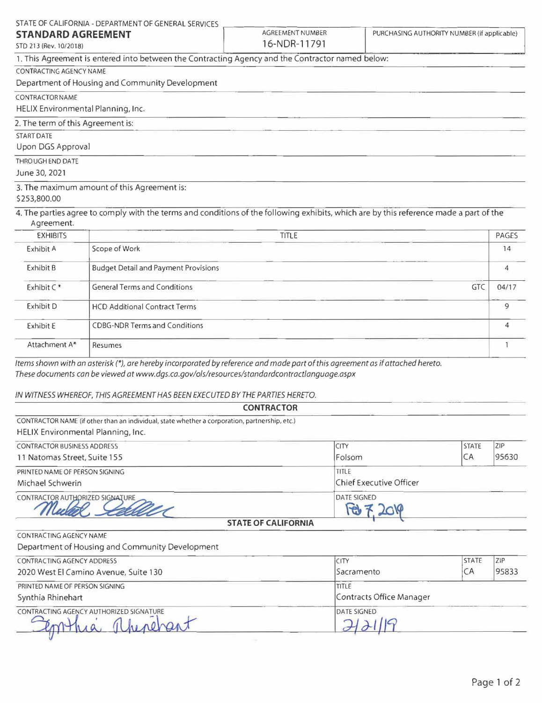|                                                     | STATE OF CALIFORNIA - DEPARTMENT OF GENERAL SERVICES                                                                                   |                                         |                                             |              |
|-----------------------------------------------------|----------------------------------------------------------------------------------------------------------------------------------------|-----------------------------------------|---------------------------------------------|--------------|
| <b>STANDARD AGREEMENT</b><br>STD 213 (Rev. 10/2018) |                                                                                                                                        | <b>AGREEMENT NUMBER</b><br>16-NDR-11791 | PURCHASING AUTHORITY NUMBER (if applicable) |              |
|                                                     | 1. This Agreement is entered into between the Contracting Agency and the Contractor named below:                                       |                                         |                                             |              |
| CONTRACTING AGENCY NAME                             |                                                                                                                                        |                                         |                                             |              |
|                                                     | Department of Housing and Community Development                                                                                        |                                         |                                             |              |
| <b>CONTRACTOR NAME</b>                              |                                                                                                                                        |                                         |                                             |              |
|                                                     | HELIX Environmental Planning, Inc.                                                                                                     |                                         |                                             |              |
| 2. The term of this Agreement is:                   |                                                                                                                                        |                                         |                                             |              |
| <b>START DATE</b>                                   |                                                                                                                                        |                                         |                                             |              |
| Upon DGS Approval                                   |                                                                                                                                        |                                         |                                             |              |
| THROUGH END DATE<br>June 30, 2021                   |                                                                                                                                        |                                         |                                             |              |
| \$253,800.00                                        | 3. The maximum amount of this Agreement is:                                                                                            |                                         |                                             |              |
| Agreement.                                          | 4. The parties agree to comply with the terms and conditions of the following exhibits, which are by this reference made a part of the |                                         |                                             |              |
| <b>EXHIBITS</b>                                     |                                                                                                                                        | <b>TITLE</b>                            |                                             | <b>PAGES</b> |
| Exhibit A                                           | Scope of Work                                                                                                                          |                                         | 14                                          |              |
| Exhibit B                                           | <b>Budget Detail and Payment Provisions</b>                                                                                            |                                         | 4                                           |              |
| Exhibit C*                                          | <b>General Terms and Conditions</b><br><b>GTC</b>                                                                                      |                                         | 04/17                                       |              |
| <b>Exhibit D</b>                                    | <b>HCD Additional Contract Terms</b>                                                                                                   |                                         | 9                                           |              |
| Exhibit E                                           | <b>CDBG-NDR Terms and Conditions</b>                                                                                                   |                                         |                                             | 4            |
| Attachment A*                                       | Resumes                                                                                                                                |                                         |                                             |              |

*Items shown with an asterisk(\*), are hereby incorporated by reference and made part of this agreement as if attached hereto. These documents can be viewed at www.dgs.ca.gov/ols/resources/standardcontractlanguage.aspx* 

## *IN WITNESS WHEREOF, THIS AGREEMENT HAS BEEN EXECUTED BY THE PARTIES HERETO.*

| <b>CONTRACTOR</b>                                                                             |                                 |                         |  |  |  |
|-----------------------------------------------------------------------------------------------|---------------------------------|-------------------------|--|--|--|
| CONTRACTOR NAME (if other than an individual, state whether a corporation, partnership, etc.) |                                 |                         |  |  |  |
| <b>CITY</b>                                                                                   | <b>STATE</b>                    | <b>ZIP</b>              |  |  |  |
| Folsom                                                                                        | CA                              | 95630                   |  |  |  |
| TITLE                                                                                         |                                 |                         |  |  |  |
|                                                                                               |                                 |                         |  |  |  |
| <b>DATE SIGNED</b><br>w                                                                       |                                 |                         |  |  |  |
|                                                                                               | $CFA = F A B A B B A B B A B B$ | Chief Executive Officer |  |  |  |

## **ST ATE OF CALIFORNIA**

## CONTRACTING AGENCY NAME Department of Housing and Community Development

| CONTRACTING AGENCY ADDRESS              | <b>CITY</b>               | <b>STATE</b> | 71P |
|-----------------------------------------|---------------------------|--------------|-----|
| 2020 West El Camino Avenue, Suite 130   | CA<br>95833<br>Sacramento |              |     |
| PRINTED NAME OF PERSON SIGNING          | <b>TITLE</b>              |              |     |
| Synthia Rhinehart                       | Contracts Office Manager  |              |     |
| CONTRACTING AGENCY AUTHORIZED SIGNATURE | <b>DATE SIGNED</b>        |              |     |